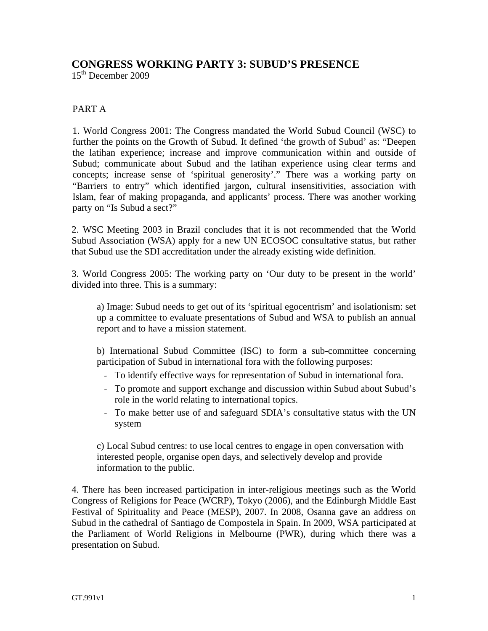## **CONGRESS WORKING PARTY 3: SUBUD'S PRESENCE**

15th December 2009

## PART A

1. World Congress 2001: The Congress mandated the World Subud Council (WSC) to further the points on the Growth of Subud. It defined 'the growth of Subud' as: "Deepen the latihan experience; increase and improve communication within and outside of Subud; communicate about Subud and the latihan experience using clear terms and concepts; increase sense of 'spiritual generosity'." There was a working party on "Barriers to entry" which identified jargon, cultural insensitivities, association with Islam, fear of making propaganda, and applicants' process. There was another working party on "Is Subud a sect?"

2. WSC Meeting 2003 in Brazil concludes that it is not recommended that the World Subud Association (WSA) apply for a new UN ECOSOC consultative status, but rather that Subud use the SDI accreditation under the already existing wide definition.

3. World Congress 2005: The working party on 'Our duty to be present in the world' divided into three. This is a summary:

a) Image: Subud needs to get out of its 'spiritual egocentrism' and isolationism: set up a committee to evaluate presentations of Subud and WSA to publish an annual report and to have a mission statement.

b) International Subud Committee (ISC) to form a sub-committee concerning participation of Subud in international fora with the following purposes:

- *–* To identify effective ways for representation of Subud in international fora.
- *–* To promote and support exchange and discussion within Subud about Subud's role in the world relating to international topics.
- *–* To make better use of and safeguard SDIA's consultative status with the UN system

c) Local Subud centres: to use local centres to engage in open conversation with interested people, organise open days, and selectively develop and provide information to the public.

4. There has been increased participation in inter-religious meetings such as the World Congress of Religions for Peace (WCRP), Tokyo (2006), and the Edinburgh Middle East Festival of Spirituality and Peace (MESP), 2007. In 2008, Osanna gave an address on Subud in the cathedral of Santiago de Compostela in Spain. In 2009, WSA participated at the Parliament of World Religions in Melbourne (PWR), during which there was a presentation on Subud.